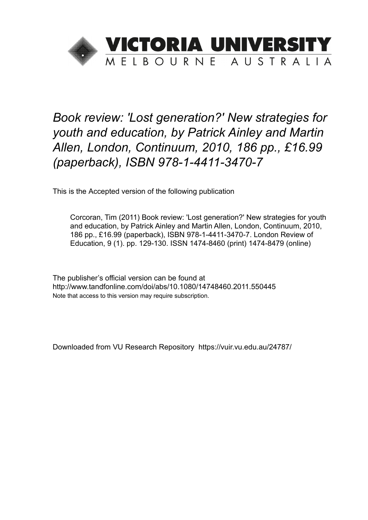

## *Book review: 'Lost generation?' New strategies for youth and education, by Patrick Ainley and Martin Allen, London, Continuum, 2010, 186 pp., £16.99 (paperback), ISBN 978-1-4411-3470-7*

This is the Accepted version of the following publication

Corcoran, Tim (2011) Book review: 'Lost generation?' New strategies for youth and education, by Patrick Ainley and Martin Allen, London, Continuum, 2010, 186 pp., £16.99 (paperback), ISBN 978-1-4411-3470-7. London Review of Education, 9 (1). pp. 129-130. ISSN 1474-8460 (print) 1474-8479 (online)

The publisher's official version can be found at http://www.tandfonline.com/doi/abs/10.1080/14748460.2011.550445 Note that access to this version may require subscription.

Downloaded from VU Research Repository https://vuir.vu.edu.au/24787/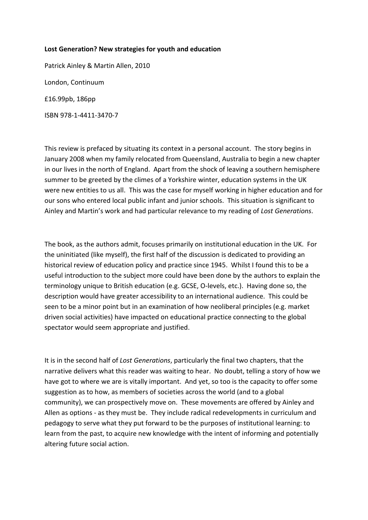## **Lost Generation? New strategies for youth and education**

Patrick Ainley & Martin Allen, 2010 London, Continuum £16.99pb, 186pp ISBN 978-1-4411-3470-7

This review is prefaced by situating its context in a personal account. The story begins in January 2008 when my family relocated from Queensland, Australia to begin a new chapter in our lives in the north of England. Apart from the shock of leaving a southern hemisphere summer to be greeted by the climes of a Yorkshire winter, education systems in the UK were new entities to us all. This was the case for myself working in higher education and for our sons who entered local public infant and junior schools. This situation is significant to Ainley and Martin's work and had particular relevance to my reading of *Lost Generations*.

The book, as the authors admit, focuses primarily on institutional education in the UK. For the uninitiated (like myself), the first half of the discussion is dedicated to providing an historical review of education policy and practice since 1945. Whilst I found this to be a useful introduction to the subject more could have been done by the authors to explain the terminology unique to British education (e.g. GCSE, O-levels, etc.). Having done so, the description would have greater accessibility to an international audience. This could be seen to be a minor point but in an examination of how neoliberal principles (e.g. market driven social activities) have impacted on educational practice connecting to the global spectator would seem appropriate and justified.

It is in the second half of *Lost Generations*, particularly the final two chapters, that the narrative delivers what this reader was waiting to hear. No doubt, telling a story of how we have got to where we are is vitally important. And yet, so too is the capacity to offer some suggestion as to how, as members of societies across the world (and to a global community), we can prospectively move on. These movements are offered by Ainley and Allen as options - as they must be. They include radical redevelopments in curriculum and pedagogy to serve what they put forward to be the purposes of institutional learning: to learn from the past, to acquire new knowledge with the intent of informing and potentially altering future social action.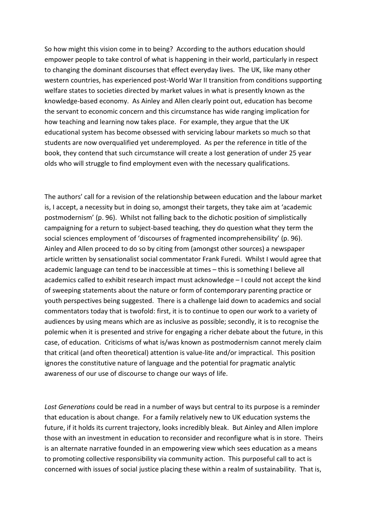So how might this vision come in to being? According to the authors education should empower people to take control of what is happening in their world, particularly in respect to changing the dominant discourses that effect everyday lives. The UK, like many other western countries, has experienced post-World War II transition from conditions supporting welfare states to societies directed by market values in what is presently known as the knowledge-based economy. As Ainley and Allen clearly point out, education has become the servant to economic concern and this circumstance has wide ranging implication for how teaching and learning now takes place. For example, they argue that the UK educational system has become obsessed with servicing labour markets so much so that students are now overqualified yet underemployed. As per the reference in title of the book, they contend that such circumstance will create a lost generation of under 25 year olds who will struggle to find employment even with the necessary qualifications.

The authors' call for a revision of the relationship between education and the labour market is, I accept, a necessity but in doing so, amongst their targets, they take aim at 'academic postmodernism' (p. 96). Whilst not falling back to the dichotic position of simplistically campaigning for a return to subject-based teaching, they do question what they term the social sciences employment of 'discourses of fragmented incomprehensibility' (p. 96). Ainley and Allen proceed to do so by citing from (amongst other sources) a newspaper article written by sensationalist social commentator Frank Furedi. Whilst I would agree that academic language can tend to be inaccessible at times – this is something I believe all academics called to exhibit research impact must acknowledge – I could not accept the kind of sweeping statements about the nature or form of contemporary parenting practice or youth perspectives being suggested. There is a challenge laid down to academics and social commentators today that is twofold: first, it is to continue to open our work to a variety of audiences by using means which are as inclusive as possible; secondly, it is to recognise the polemic when it is presented and strive for engaging a richer debate about the future, in this case, of education. Criticisms of what is/was known as postmodernism cannot merely claim that critical (and often theoretical) attention is value-lite and/or impractical. This position ignores the constitutive nature of language and the potential for pragmatic analytic awareness of our use of discourse to change our ways of life.

*Lost Generations* could be read in a number of ways but central to its purpose is a reminder that education is about change. For a family relatively new to UK education systems the future, if it holds its current trajectory, looks incredibly bleak. But Ainley and Allen implore those with an investment in education to reconsider and reconfigure what is in store. Theirs is an alternate narrative founded in an empowering view which sees education as a means to promoting collective responsibility via community action. This purposeful call to act is concerned with issues of social justice placing these within a realm of sustainability. That is,